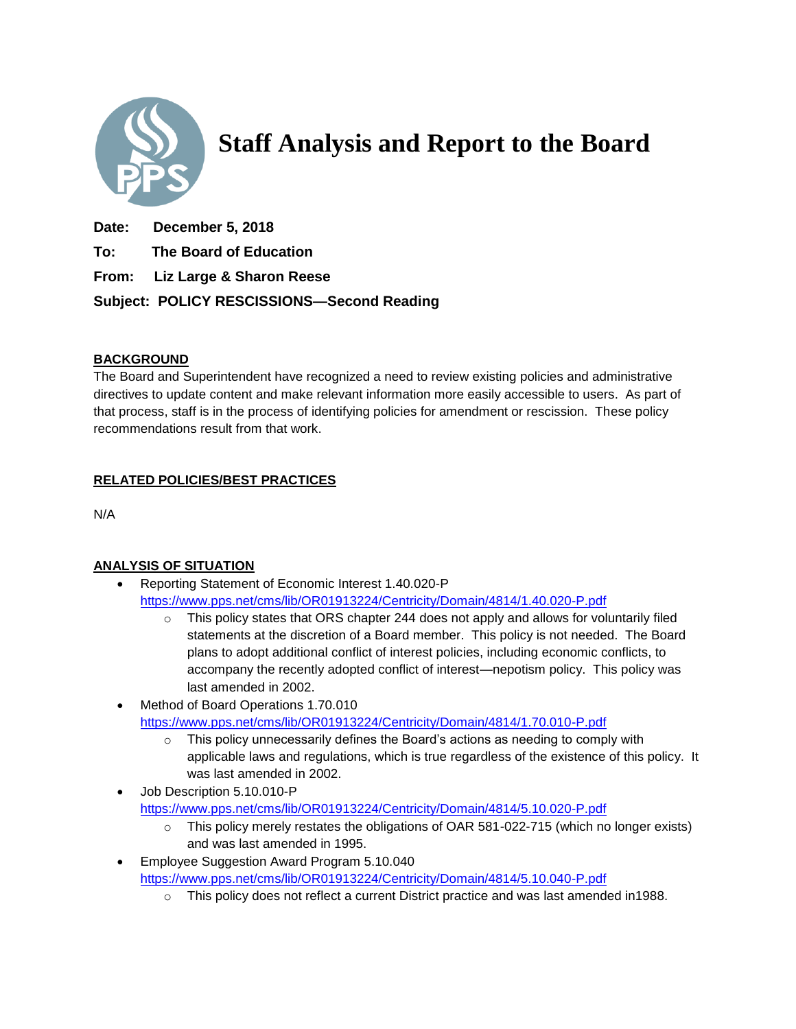

**Staff Analysis and Report to the Board**

- **Date: December 5, 2018**
- **To: The Board of Education**
- **From: Liz Large & Sharon Reese**

**Subject: POLICY RESCISSIONS—Second Reading**

## **BACKGROUND**

The Board and Superintendent have recognized a need to review existing policies and administrative directives to update content and make relevant information more easily accessible to users. As part of that process, staff is in the process of identifying policies for amendment or rescission. These policy recommendations result from that work.

## **RELATED POLICIES/BEST PRACTICES**

N/A

# **ANALYSIS OF SITUATION**

- Reporting Statement of Economic Interest 1.40.020-P <https://www.pps.net/cms/lib/OR01913224/Centricity/Domain/4814/1.40.020-P.pdf>
	- $\circ$  This policy states that ORS chapter 244 does not apply and allows for voluntarily filed statements at the discretion of a Board member. This policy is not needed. The Board plans to adopt additional conflict of interest policies, including economic conflicts, to accompany the recently adopted conflict of interest—nepotism policy. This policy was last amended in 2002.
- Method of Board Operations 1.70.010 <https://www.pps.net/cms/lib/OR01913224/Centricity/Domain/4814/1.70.010-P.pdf>
	- $\circ$  This policy unnecessarily defines the Board's actions as needing to comply with applicable laws and regulations, which is true regardless of the existence of this policy. It was last amended in 2002.
- Job Description 5.10.010-P <https://www.pps.net/cms/lib/OR01913224/Centricity/Domain/4814/5.10.020-P.pdf>
	- $\circ$  This policy merely restates the obligations of OAR 581-022-715 (which no longer exists) and was last amended in 1995.
- **Employee Suggestion Award Program 5.10.040** <https://www.pps.net/cms/lib/OR01913224/Centricity/Domain/4814/5.10.040-P.pdf>
	- $\circ$  This policy does not reflect a current District practice and was last amended in1988.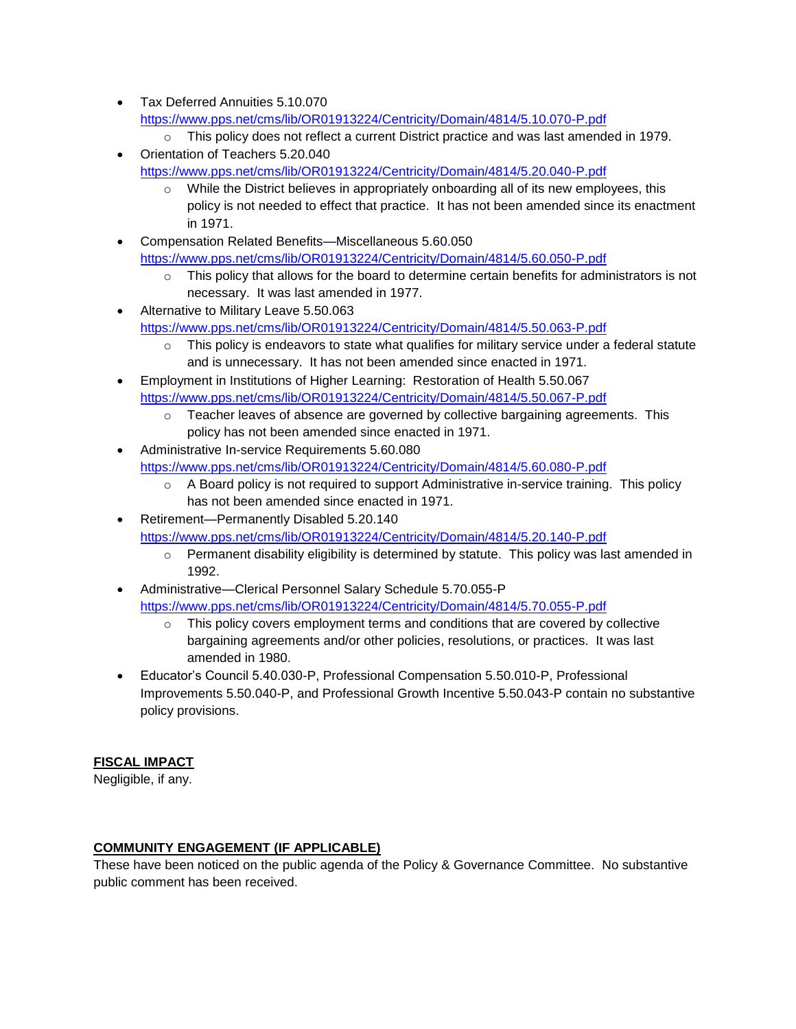- Tax Deferred Annuities 5.10.070 <https://www.pps.net/cms/lib/OR01913224/Centricity/Domain/4814/5.10.070-P.pdf>
	- o This policy does not reflect a current District practice and was last amended in 1979.
- Orientation of Teachers 5.20.040 <https://www.pps.net/cms/lib/OR01913224/Centricity/Domain/4814/5.20.040-P.pdf>
	- $\circ$  While the District believes in appropriately onboarding all of its new employees, this policy is not needed to effect that practice. It has not been amended since its enactment in 1971.
- Compensation Related Benefits—Miscellaneous 5.60.050 <https://www.pps.net/cms/lib/OR01913224/Centricity/Domain/4814/5.60.050-P.pdf>
	- $\circ$  This policy that allows for the board to determine certain benefits for administrators is not necessary. It was last amended in 1977.
- Alternative to Military Leave 5.50.063 <https://www.pps.net/cms/lib/OR01913224/Centricity/Domain/4814/5.50.063-P.pdf>
	- $\circ$  This policy is endeavors to state what qualifies for military service under a federal statute and is unnecessary. It has not been amended since enacted in 1971.
- Employment in Institutions of Higher Learning: Restoration of Health 5.50.067 <https://www.pps.net/cms/lib/OR01913224/Centricity/Domain/4814/5.50.067-P.pdf>
	- $\circ$  Teacher leaves of absence are governed by collective bargaining agreements. This policy has not been amended since enacted in 1971.
- Administrative In-service Requirements 5.60.080
	- <https://www.pps.net/cms/lib/OR01913224/Centricity/Domain/4814/5.60.080-P.pdf>
		- $\circ$  A Board policy is not required to support Administrative in-service training. This policy has not been amended since enacted in 1971.
- Retirement—Permanently Disabled 5.20.140 <https://www.pps.net/cms/lib/OR01913224/Centricity/Domain/4814/5.20.140-P.pdf>
	- $\circ$  Permanent disability eligibility is determined by statute. This policy was last amended in 1992.
- Administrative—Clerical Personnel Salary Schedule 5.70.055-P <https://www.pps.net/cms/lib/OR01913224/Centricity/Domain/4814/5.70.055-P.pdf>
	- $\circ$  This policy covers employment terms and conditions that are covered by collective bargaining agreements and/or other policies, resolutions, or practices. It was last amended in 1980.
- Educator's Council 5.40.030-P, Professional Compensation 5.50.010-P, Professional Improvements 5.50.040-P, and Professional Growth Incentive 5.50.043-P contain no substantive policy provisions.

# **FISCAL IMPACT**

Negligible, if any.

# **COMMUNITY ENGAGEMENT (IF APPLICABLE)**

These have been noticed on the public agenda of the Policy & Governance Committee. No substantive public comment has been received.